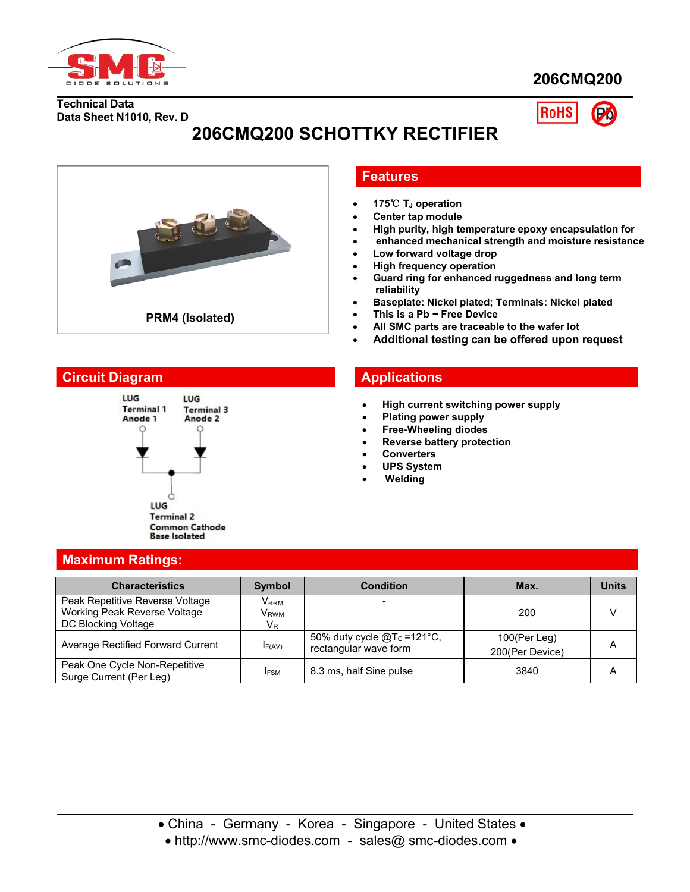

# **206CMQ200**

**Technical Data Data Sheet N1010, Rev. D**

**RoHS** 

# **206CMQ200 SCHOTTKY RECTIFIER**



## **Features**

- **175**℃ **T<sup>J</sup> operation**
- **Center tap module**
- **High purity, high temperature epoxy encapsulation for**
- **enhanced mechanical strength and moisture resistance**
- **Low forward voltage drop**
- **High frequency operation**
- **Guard ring for enhanced ruggedness and long term reliability**
- **Baseplate: Nickel plated; Terminals: Nickel plated**
- **This is a Pb − Free Device**
- **All SMC parts are traceable to the wafer lot**
- **Additional testing can be offered upon request**

# **Circuit Diagram Applications**



- **High current switching power supply**
- **Plating power supply**
- **Free-Wheeling diodes**
- **Reverse battery protection**
- **Converters**
- **UPS System**
- **Welding**

| <b>Maximum Ratings:</b> |  |
|-------------------------|--|
|                         |  |
|                         |  |

| <b>Characteristics</b>                                          | <b>Symbol</b>               | <b>Condition</b>               | Max.            | <b>Units</b>   |
|-----------------------------------------------------------------|-----------------------------|--------------------------------|-----------------|----------------|
| Peak Repetitive Reverse Voltage<br>Working Peak Reverse Voltage | Vrrm                        |                                | 200             |                |
| DC Blocking Voltage                                             | V <sub>rwm</sub><br>$V_{R}$ |                                |                 |                |
| Average Rectified Forward Current                               |                             | 50% duty cycle $@Tc = 121°C$ , | 100(Per Leg)    | $\overline{A}$ |
|                                                                 | F(AV)                       | rectangular wave form          | 200(Per Device) |                |
| Peak One Cycle Non-Repetitive<br>Surge Current (Per Leg)        | <b>IFSM</b>                 | 8.3 ms, half Sine pulse        | 3840            | A              |

• http://www.smc-diodes.com - sales@ smc-diodes.com •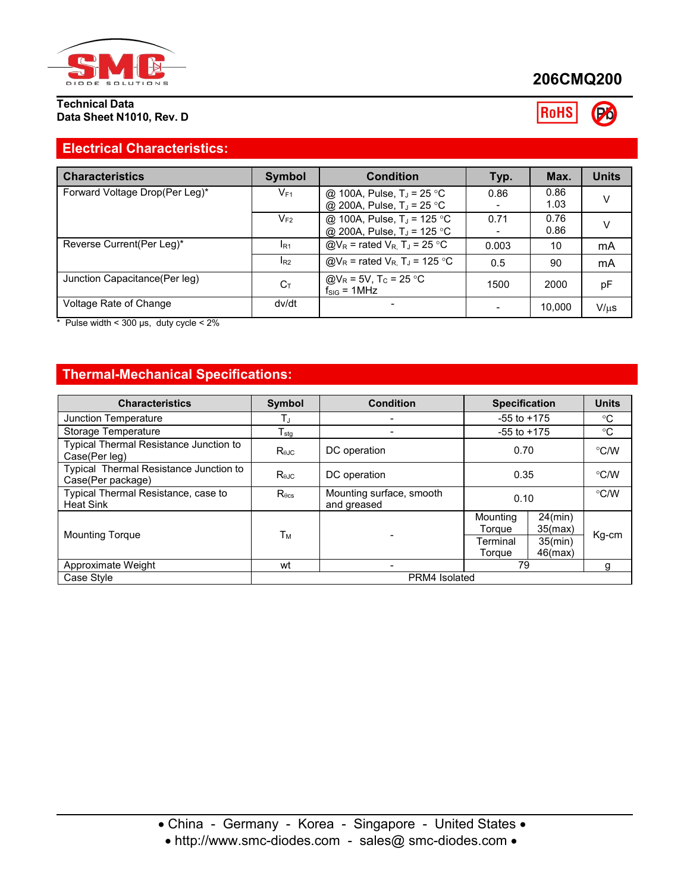

### **Technical Data Data Sheet N1010, Rev. D**

# **206CMQ200**

RoHS Po

# **Electrical Characteristics:**

| <b>Characteristics</b>         | Symbol         | <b>Condition</b>                                                                 | Typ.  | Max.         | <b>Units</b> |
|--------------------------------|----------------|----------------------------------------------------------------------------------|-------|--------------|--------------|
| Forward Voltage Drop(Per Leg)* | $V_{F1}$       | @ 100A, Pulse, $T_J = 25 °C$<br>@ 200A, Pulse, T <sub>J</sub> = 25 °C            | 0.86  | 0.86<br>1.03 | V            |
|                                | $V_{F2}$       | @ 100A, Pulse, T <sub>J</sub> = 125 °C<br>@ 200A, Pulse, T <sub>J</sub> = 125 °C | 0.71  | 0.76<br>0.86 | $\vee$       |
| Reverse Current(Per Leg)*      | $I_{R1}$       | $@V_R$ = rated $V_R$ , T <sub>J</sub> = 25 °C                                    | 0.003 | 10           | mA           |
|                                | $I_{R2}$       | @V <sub>R</sub> = rated V <sub>R</sub> , T <sub>J</sub> = 125 °C                 | 0.5   | 90           | mA           |
| Junction Capacitance (Per leg) | $C_{\text{T}}$ | @V <sub>R</sub> = 5V, T <sub>c</sub> = 25 °C<br>$f_{\text{SIG}} = 1$ MHz         | 1500  | 2000         | рF           |
| Voltage Rate of Change         | dv/dt          |                                                                                  |       | 10.000       | $V/\mu s$    |

 $*$  Pulse width < 300 µs, duty cycle < 2%

# **Thermal-Mechanical Specifications:**

| <b>Characteristics</b>                                      | Symbol          | <b>Condition</b>                        | <b>Specification</b> |                          | <b>Units</b>  |
|-------------------------------------------------------------|-----------------|-----------------------------------------|----------------------|--------------------------|---------------|
| Junction Temperature                                        |                 |                                         | $-55$ to $+175$      |                          | $^{\circ}$ C  |
| Storage Temperature                                         | $T_{\rm stg}$   |                                         | $-55$ to $+175$      |                          | $^{\circ}$ C  |
| Typical Thermal Resistance Junction to<br>Case(Per leg)     | $R_{\theta JC}$ | DC operation                            | 0.70                 |                          | °C/W          |
| Typical Thermal Resistance Junction to<br>Case(Per package) | $R_{\theta$ JC  | DC operation                            | 0.35                 |                          | °C/W          |
| Typical Thermal Resistance, case to<br><b>Heat Sink</b>     | $R_{\theta cs}$ | Mounting surface, smooth<br>and greased | 0.10                 |                          | $\degree$ C/W |
| <b>Mounting Torque</b>                                      | Tм              |                                         | Mounting<br>Torque   | $24$ (min)<br>35(max)    | Kg-cm         |
|                                                             |                 |                                         | Terminal<br>Toraue   | $35$ (min)<br>$46$ (max) |               |
| Approximate Weight                                          | wt              |                                         | 79                   |                          |               |
| Case Style                                                  | PRM4 Isolated   |                                         |                      |                          |               |

http://www.smc-diodes.com - sales@ smc-diodes.com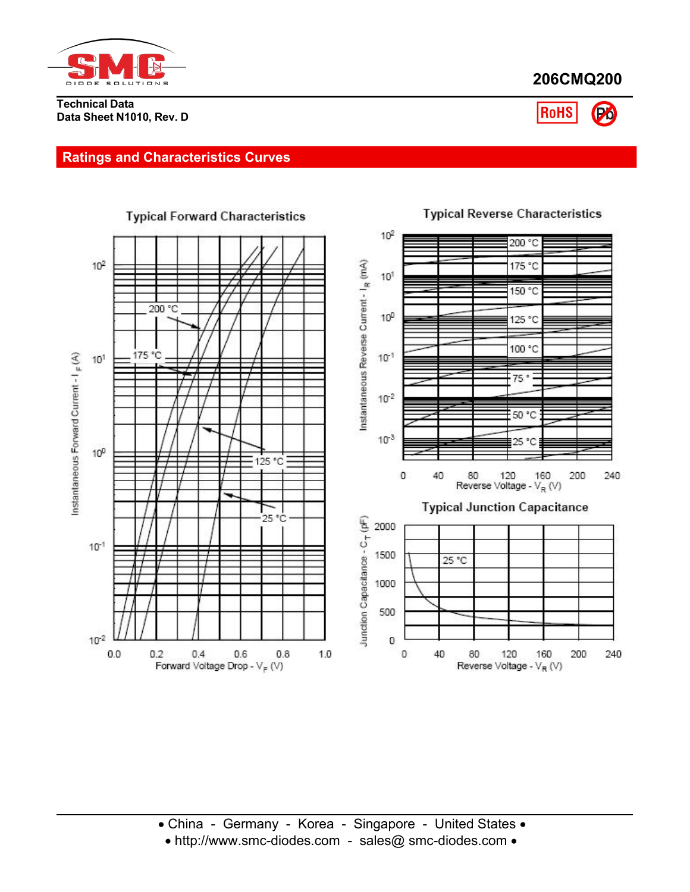

### **Technical Data Data Sheet N1010, Rev. D**





# **Ratings and Characteristics Curves**

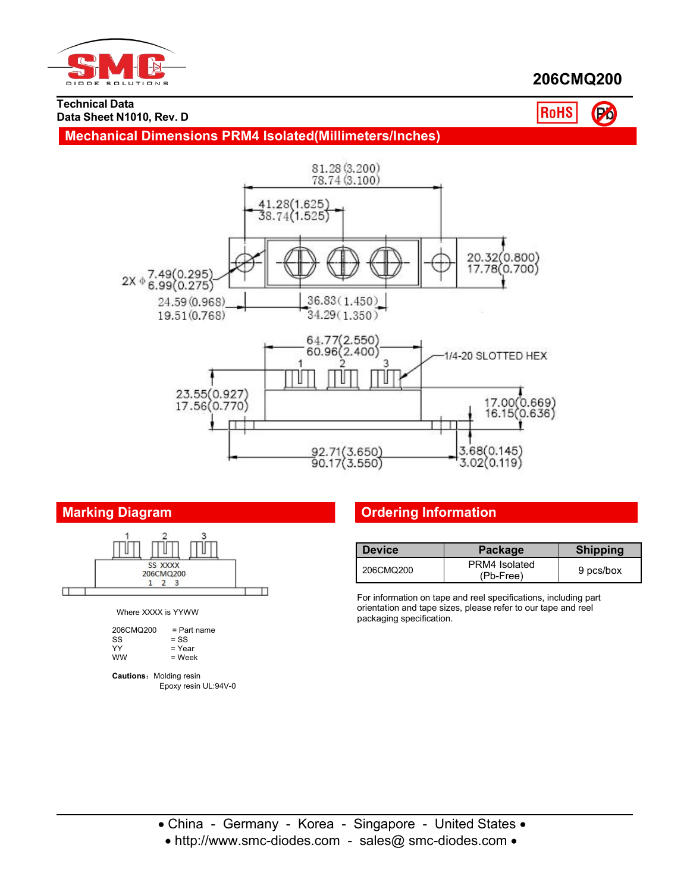

# **206CMQ200**

#### **Technical Data Data Sheet N1010, Rev. D**

RoHS Po





Where XXXX is YYWW

| 206CMQ200 | $=$ Part name |
|-----------|---------------|
| SS        | $=$ SS        |
| YY        | = Year        |
| <b>WW</b> | = Week        |
|           |               |

**Cautions: Molding resin** Epoxy resin UL:94V-0

# **Marking Diagram Ordering Information**

| <b>Device</b> | Package                    | <b>Shipping</b> |
|---------------|----------------------------|-----------------|
| 206CMQ200     | PRM4 Isolated<br>(Pb-Free) | 9 pcs/box       |

For information on tape and reel specifications, including part orientation and tape sizes, please refer to our tape and reel packaging specification.

• http://www.smc-diodes.com - sales@ smc-diodes.com •